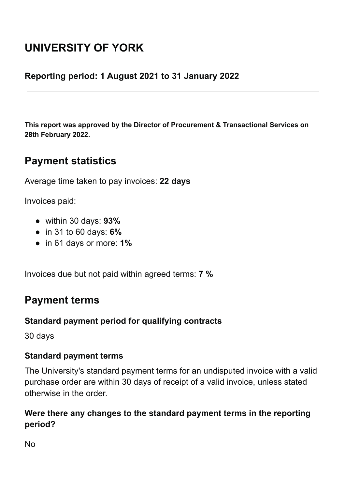# **UNIVERSITY OF YORK**

#### **Reporting period: 1 August 2021 to 31 January 2022**

**This report was approved by the Director of Procurement & Transactional Services on 28th February 2022.**

# **Payment statistics**

Average time taken to pay invoices: **22 days**

Invoices paid:

- within 30 days: **93%**
- in 31 to 60 days: **6%**
- in 61 days or more: **1%**

Invoices due but not paid within agreed terms: **7 %**

# **Payment terms**

#### **Standard payment period for qualifying contracts**

30 days

#### **Standard payment terms**

The University's standard payment terms for an undisputed invoice with a valid purchase order are within 30 days of receipt of a valid invoice, unless stated otherwise in the order.

#### **Were there any changes to the standard payment terms in the reporting period?**

 $N<sub>0</sub>$